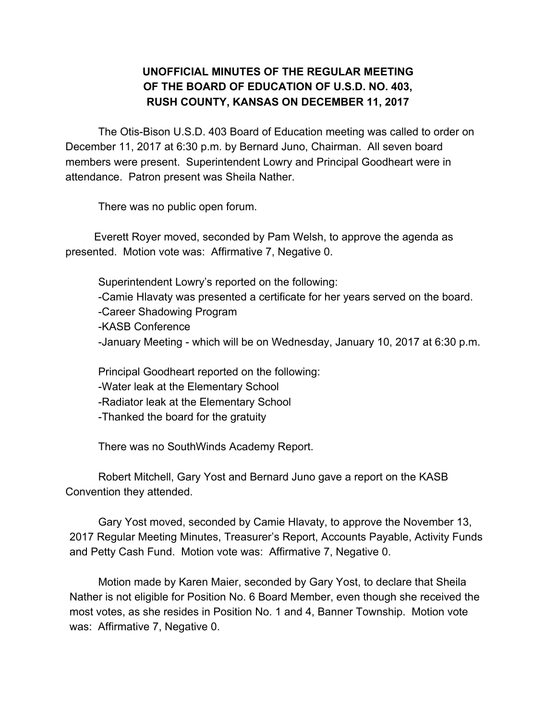## **UNOFFICIAL MINUTES OF THE REGULAR MEETING OF THE BOARD OF EDUCATION OF U.S.D. NO. 403, RUSH COUNTY, KANSAS ON DECEMBER 11, 2017**

The Otis-Bison U.S.D. 403 Board of Education meeting was called to order on December 11, 2017 at 6:30 p.m. by Bernard Juno, Chairman. All seven board members were present. Superintendent Lowry and Principal Goodheart were in attendance. Patron present was Sheila Nather.

There was no public open forum.

Everett Royer moved, seconded by Pam Welsh, to approve the agenda as presented. Motion vote was: Affirmative 7, Negative 0.

Superintendent Lowry's reported on the following: -Camie Hlavaty was presented a certificate for her years served on the board. -Career Shadowing Program -KASB Conference -January Meeting - which will be on Wednesday, January 10, 2017 at 6:30 p.m.

Principal Goodheart reported on the following: -Water leak at the Elementary School -Radiator leak at the Elementary School -Thanked the board for the gratuity

There was no SouthWinds Academy Report.

Robert Mitchell, Gary Yost and Bernard Juno gave a report on the KASB Convention they attended.

Gary Yost moved, seconded by Camie Hlavaty, to approve the November 13, 2017 Regular Meeting Minutes, Treasurer's Report, Accounts Payable, Activity Funds and Petty Cash Fund. Motion vote was: Affirmative 7, Negative 0.

Motion made by Karen Maier, seconded by Gary Yost, to declare that Sheila Nather is not eligible for Position No. 6 Board Member, even though she received the most votes, as she resides in Position No. 1 and 4, Banner Township. Motion vote was: Affirmative 7, Negative 0.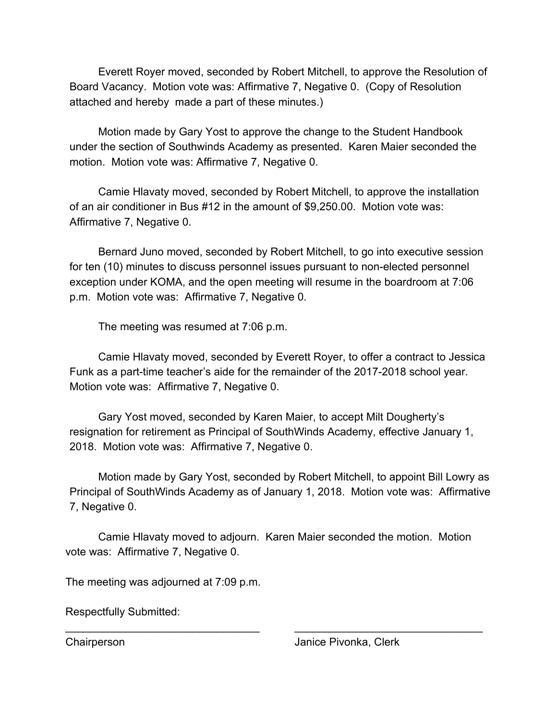Everett Royer moved, seconded by Robert Mitchell, to approve the Resolution of Board Vacancy. Motion vote was: Affirmative 7, Negative 0. (Copy of Resolution attached and hereby made a part of these minutes.)

Motion made by Gary Yost to approve the change to the Student Handbook under the section of Southwinds Academy as presented. Karen Maier seconded the motion. Motion vote was: Affirmative 7, Negative 0.

Camie Hlavaty moved, seconded by Robert Mitchell, to approve the installation of an air conditioner in Bus #12 in the amount of \$9,250.00. Motion vote was: Affirmative 7, Negative 0.

Bernard Juno moved, seconded by Robert Mitchell, to go into executive session for ten (10) minutes to discuss personnel issues pursuant to non-elected personnel exception under KOMA, and the open meeting will resume in the boardroom at 7:06 p.m. Motion vote was: Affirmative 7, Negative 0.

The meeting was resumed at 7:06 p.m.

Camie Hlavaty moved, seconded by Everett Royer, to offer a contract to Jessica Funk as a part-time teacher's aide for the remainder of the 2017-2018 school year. Motion vote was: Affirmative 7, Negative 0.

Gary Yost moved, seconded by Karen Maier, to accept Milt Dougherty's resignation for retirement as Principal of SouthWinds Academy, effective January 1, 2018. Motion vote was: Affirmative 7, Negative 0.

Motion made by Gary Yost, seconded by Robert Mitchell, to appoint Bill Lowry as Principal of SouthWinds Academy as of January 1, 2018. Motion vote was: Affirmative 7, Negative 0.

Camie Hlavaty moved to adjourn. Karen Maier seconded the motion. Motion vote was: Affirmative 7, Negative 0.

\_\_\_\_\_\_\_\_\_\_\_\_\_\_\_\_\_\_\_\_\_\_\_\_\_\_\_\_\_\_\_\_ \_\_\_\_\_\_\_\_\_\_\_\_\_\_\_\_\_\_\_\_\_\_\_\_\_\_\_\_\_\_\_

The meeting was adjourned at 7:09 p.m.

Respectfully Submitted: